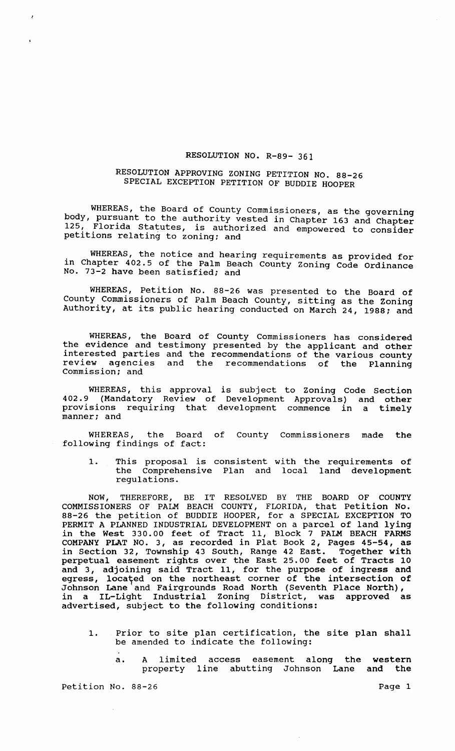## RESOLUTION NO. R-89- 361

## RESOLUTION APPROVING ZONING PETITION NO. 88-26 SPECIAL EXCEPTION PETITION OF BUDDIE HOOPER

WHEREAS, the Board of County Commissioners, as the governing body, pursuant to the authority vested in Chapter 163 and Chapter 125, Florida Statutes, is authorized and empowered to consider petitions relating to zoning; and

. WHEREAS, the notice and hearing requirements as provided for in Chapter 402.5 of the Palm Beach County Zoning Code Ordinance No. 73-2 have been satisfied; and

WHEREAS, Petition No. 88-26 was presented to the Board of County Commissioners of Palm Beach County, sitting as the Zoning Authority, at its public hearing conducted on March 24, 1988; and

WHEREAS, the Board of County Commissioners has considered the evidence and testimony presented by the applicant and other interested parties and the recommendations of the various county review agencies and the recommendations of the Planning commission; and

WHEREAS, this approval is subject to Zoning Code Section 402.9 (Mandatory Review of Development Approvals) and other provisions requiring that development commence in a timely manner; and

WHEREAS, the Board of County Commissioners made the following findings of fact:

1. This proposal is consistent with the requirements of the Comprehensive Plan and local land development regulations.

NOW, THEREFORE, BE IT RESOLVED BY THE BOARD OF COUNTY COMMISSIONERS OF PALM BEACH COUNTY, FLORIDA, that Petition No. 88-26 the petition of BUDDIE HOOPER, for a SPECIAL EXCEPTION TO PERMIT A PLANNED INDUSTRIAL DEVELOPMENT on a parcel of land lying in the West 330.00 feet of Tract 11, Block 7 PALM BEACH FARMS COMPANY PLAT NO.3, as recorded in Plat Book 2, Pages 45-54, as in Section 32, Township 43 South, Range 42 East. Together with perpetual easement rights over the East 25.00 feet of Tracts 10 and 3, adjoining said Tract 11, for the purpose of ingress and egress, located on the northeast corner of the intersection of Johnson Lane and Fairgrounds Road North (Seventh Place North), in a IL-Light Industrial Zoning District, was approved as advertised, subject to the following conditions:

- 1. Prior to site plan certification, the site plan shall be amended to indicate the following:
	- a. A limited access easement along the western<br>property line abutting Johnson Lane and the property line abutting Johnson Lane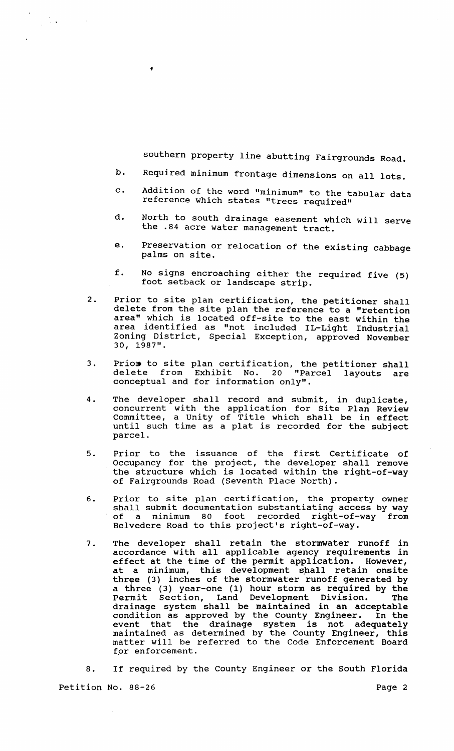southern property line abutting Fairgrounds Road.

b. Required minimum frontage dimensions on all lots.

 $\frac{1}{2}$  ,  $\frac{1}{2}$  ,

- c. Addition of the word "minimum" to the tabular data reference which states "trees required"
- d. North to south drainage easement which will serve the .84 acre water management tract.
- e. Preservation or relocation of the existing cabbage palms on site.
- f. No signs encroaching either the required five (5) foot setback or landscape strip.
- 2. Prior to site plan certification, the petitioner shall delete from the site plan the reference to a "retention area" which is located off-site to the east within the area identified as "not included IL-Light Industrial Zoning District, Special Exception, approved November 30, 1987".
- 3. Priom to site plan certification, the petitioner shall delete from Exhibit No. 20 "Parcel layouts are conceptual and for information only".
- 4. The developer shall record and submit, in duplicate, concurrent with the application for Site Plan Review Committee, a unity of Title which shall be in effect until such time as a plat is recorded for the subject parcel.
- 5. Prior to the issuance of the first Certificate of Occupancy for the project, the developer shall remove the structure which is located within the right-of-way of Fairgrounds Road (Seventh Place North) .
- 6. Prior to site plan certification, the property owner shall submit documentation substantiating access by way<br>of a minimum 80 foot recorded right-of-way from minimum 80 foot recorded right-of-way Belvedere Road to this project's right-of-way.
- 7. The developer shall retain the stormwater runoff in accordance with all applicable agency requirements in effect at the time of the permit application. However, at a minimum, this development shall retain onsite three (3) inches of the stormwater runoff generated by a three (3) year-one (1) hour storm as required by the Permit Section, Land Development Division. The drainage system shall be maintained in an acceptable condition as approved by the County Engineer. In the event that the drainage system is not adequately maintained as determined by the County Engineer, this mathed has accommed by the code Enforcement Board for enforcement.

8. If required by the County Engineer or the South Florida Petition No. 88-26 Page 2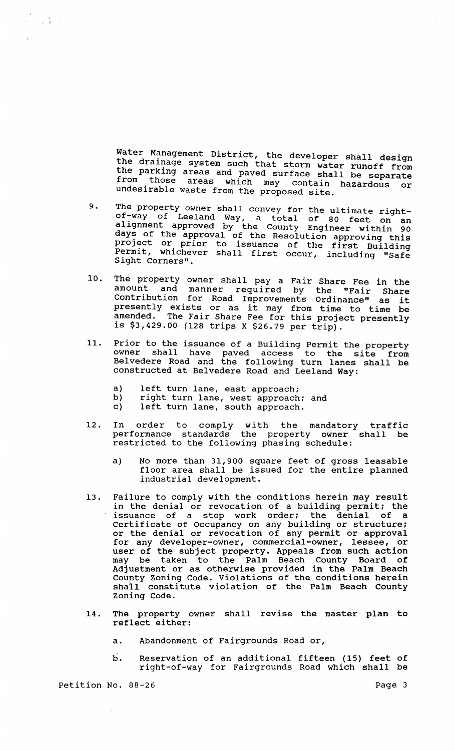Water Management District, the developer shall design the drainage system such that storm water runoff from the parking areas and paved surface shall be separate from those areas which may contain hazardous or undesirable waste from the proposed site.

- 9. The property owner shall convey for the ultimate rightof-way of Leeland Way, a total of 80 feet on an alignment approved by the County Engineer within 90 days of the approval of the Resolution approving this project or prior to issuance of the first Building Permit, whichever shall first occur, including "Safe Sight Corners".
- 10. The property owner shall pay a Fair Share Fee in the amount and manner required by the "Fair Share Contribution for Road Improvements Ordinance" as it concribution for koad improvements ordinance" as it<br>presently exists or as it may from time to time be amended. The Fair Share Fee for this project presently is \$3,429.00 (128 trips X \$26.79 per trip).
- 11. Prior to the issuance of a Building Permit the property Their colding issuance of a Burlding Fermit the property<br>owner shall have paved access to the site from Belvedere Road and the following turn lanes shall be constructed at Belvedere Road and Leeland Way:
	- a) left turn lane, east approach;<br>b) right turn lane, west approach
	- b) right turn lane, west approach; and<br>c) left turn lane, south approach.
	- left turn lane, south approach.
- 12. In order to comply with the mandatory traffic performance standards the property owner shall be restricted to the following phasing schedule:
	- a) No more than 31,900 square feet of gross leasable floor area shall be issued for the entire planned industrial development.
- 13. Failure to comply with the conditions herein may result in the denial or revocation of a building permit; the issuance of a stop work order; the denial of a certificate of Occupancy on any building or structure; or the denial or revocation of any permit or approval for any developer-owner, commercial-owner, lessee, or user of the subject property. Appeals from such action may be taken to the Palm Beach County Board of Adjustment or as otherwise provided in the Palm Beach County Zoning Code. Violations of the conditions herein shall constitute violation of the Palm Beach County Zoning Code.
- 14. The property owner shall revise the master plan to reflect either:
	- a. Abandonment of Fairgrounds Road or,
	- b. Reservation of an additional fifteen (15) feet of right-of-way for Fairgrounds Road which shall be

Petition No. 88-26 Page 3